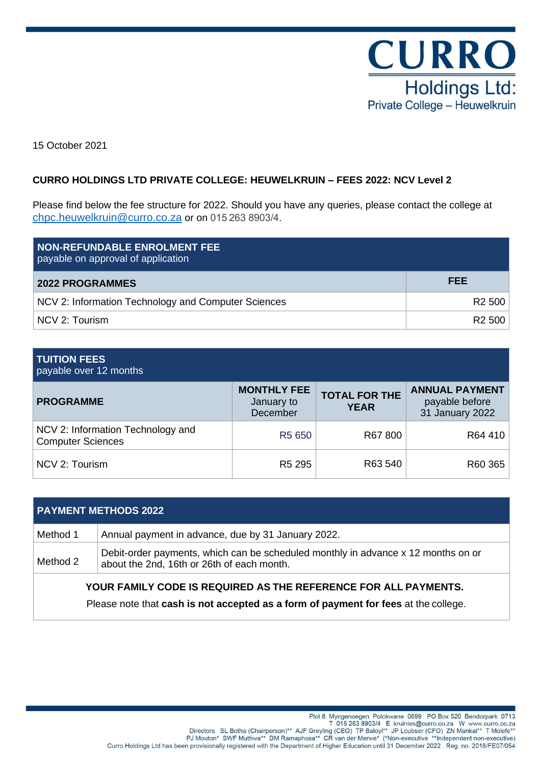

15 October 2021

# **CURRO HOLDINGS LTD PRIVATE COLLEGE: HEUWELKRUIN – FEES 2022: NCV Level 2**

Please find below the fee structure for 2022. Should you have any queries, please contact the college at [chpc.heuwelkruin@curro.co.za](mailto:chpc.midrand@curro.co.za) or on 015 263 8903/4.

| <b>NON-REFUNDABLE ENROLMENT FEE</b><br>payable on approval of application |                    |
|---------------------------------------------------------------------------|--------------------|
| <b>2022 PROGRAMMES</b>                                                    | FEE                |
| NCV 2: Information Technology and Computer Sciences                       | R <sub>2</sub> 500 |
| NCV 2: Tourism                                                            | R <sub>2</sub> 500 |

### **TUITION FEES**

payable over 12 months

| <b>PROGRAMME</b>                                              | <b>MONTHLY FEE</b><br>January to<br>December | <b>TOTAL FOR THE</b><br><b>YEAR</b> | <b>ANNUAL PAYMENT</b><br>payable before<br>31 January 2022 |
|---------------------------------------------------------------|----------------------------------------------|-------------------------------------|------------------------------------------------------------|
| NCV 2: Information Technology and<br><b>Computer Sciences</b> | R5 650                                       | R67 800                             | R64 410                                                    |
| NCV 2: Tourism                                                | R <sub>5</sub> 295                           | R63 540                             | R60 365                                                    |

| <b>PAYMENT METHODS 2022</b>                                                                                                                            |                                                                                                                                 |  |
|--------------------------------------------------------------------------------------------------------------------------------------------------------|---------------------------------------------------------------------------------------------------------------------------------|--|
| Method 1                                                                                                                                               | Annual payment in advance, due by 31 January 2022.                                                                              |  |
| Method 2                                                                                                                                               | Debit-order payments, which can be scheduled monthly in advance x 12 months on or<br>about the 2nd, 16th or 26th of each month. |  |
| YOUR FAMILY CODE IS REQUIRED AS THE REFERENCE FOR ALL PAYMENTS.<br>Please note that cash is not accepted as a form of payment for fees at the college. |                                                                                                                                 |  |